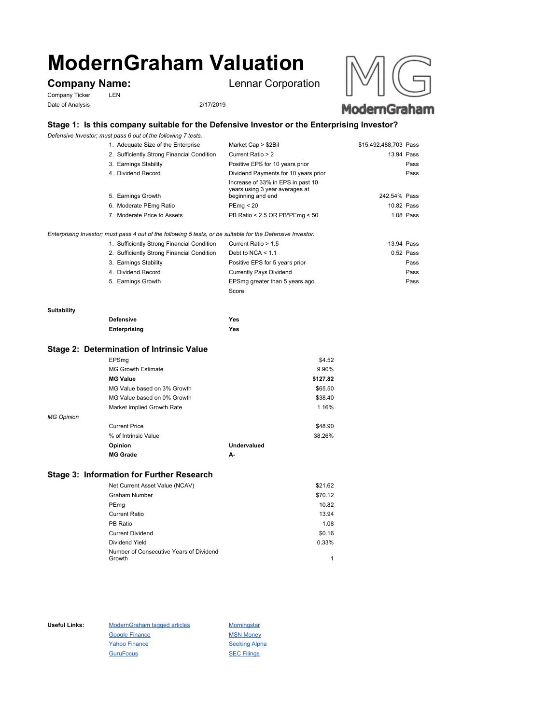# **ModernGraham Valuation**

Company Ticker LEN Date of Analysis 2/17/2019

**Company Name:** Lennar Corporation





## **Stage 1: Is this company suitable for the Defensive Investor or the Enterprising Investor?**

*Defensive Investor; must pass 6 out of the following 7 tests.*

| 1. Adequate Size of the Enterprise         | Market Cap > \$2Bil                                                                      | \$15,492,488,703 Pass |
|--------------------------------------------|------------------------------------------------------------------------------------------|-----------------------|
| 2. Sufficiently Strong Financial Condition | Current Ratio > 2                                                                        | 13.94 Pass            |
| 3. Earnings Stability                      | Positive EPS for 10 years prior                                                          | Pass                  |
| 4. Dividend Record                         | Dividend Payments for 10 years prior                                                     | Pass                  |
| 5. Earnings Growth                         | Increase of 33% in EPS in past 10<br>years using 3 year averages at<br>beginning and end | 242.54% Pass          |
| 6. Moderate PEmg Ratio                     | PEmg < 20                                                                                | 10.82 Pass            |
| 7. Moderate Price to Assets                | PB Ratio < 2.5 OR PB*PEmg < 50                                                           | 1.08 Pass             |
|                                            |                                                                                          |                       |

*Enterprising Investor; must pass 4 out of the following 5 tests, or be suitable for the Defensive Investor.*

| 1. Sufficiently Strong Financial Condition | Current Ratio > 1.5            | 13.94 Pass  |
|--------------------------------------------|--------------------------------|-------------|
| 2. Sufficiently Strong Financial Condition | Debt to NCA $<$ 1.1            | $0.52$ Pass |
| 3. Earnings Stability                      | Positive EPS for 5 years prior | Pass        |
| 4. Dividend Record                         | <b>Currently Pays Dividend</b> | Pass        |
| 5. Earnings Growth                         | EPSmg greater than 5 years ago | Pass        |
|                                            | Score                          |             |

#### **Suitability**

| <b>Defensive</b> | Yes |
|------------------|-----|
| Enterprising     | Yes |

#### **Stage 2: Determination of Intrinsic Value**

|                   | EPSmg                       |             | \$4.52   |
|-------------------|-----------------------------|-------------|----------|
|                   | <b>MG Growth Estimate</b>   |             | 9.90%    |
|                   | <b>MG Value</b>             |             | \$127.82 |
|                   | MG Value based on 3% Growth |             | \$65.50  |
|                   | MG Value based on 0% Growth |             | \$38.40  |
|                   | Market Implied Growth Rate  |             | 1.16%    |
| <b>MG Opinion</b> |                             |             |          |
|                   | <b>Current Price</b>        |             | \$48.90  |
|                   | % of Intrinsic Value        |             | 38.26%   |
|                   | Opinion                     | Undervalued |          |
|                   | <b>MG Grade</b>             | А-          |          |
|                   |                             |             |          |

### **Stage 3: Information for Further Research**

| Net Current Asset Value (NCAV)          | \$21.62 |
|-----------------------------------------|---------|
| Graham Number                           | \$70.12 |
| PEmg                                    | 10.82   |
| Current Ratio                           | 13.94   |
| PB Ratio                                | 1.08    |
| <b>Current Dividend</b>                 | \$0.16  |
| Dividend Yield                          | 0.33%   |
| Number of Consecutive Years of Dividend |         |
| Growth                                  |         |

Useful Links: ModernGraham tagged articles Morningstar Google Finance MSN Money Yahoo Finance Seeking Alpha GuruFocus SEC Filings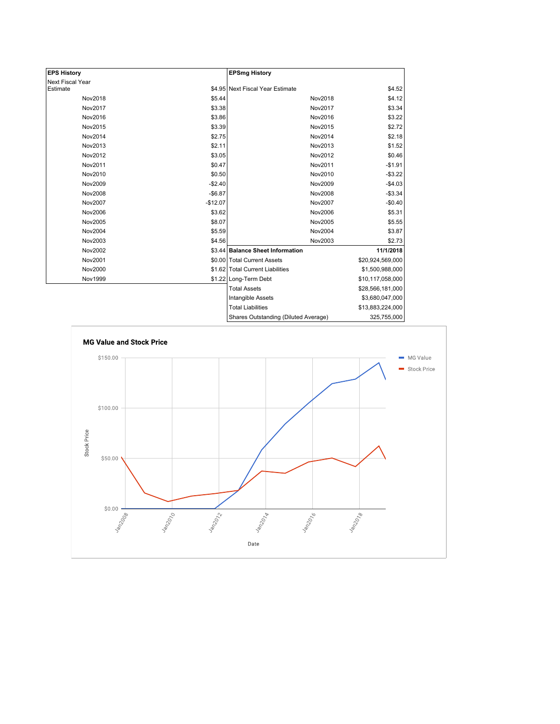| <b>EPS History</b> |           | <b>EPSmg History</b>                 |                  |
|--------------------|-----------|--------------------------------------|------------------|
| Next Fiscal Year   |           |                                      |                  |
| Estimate           |           | \$4.95 Next Fiscal Year Estimate     | \$4.52           |
| Nov2018            | \$5.44    | Nov2018                              | \$4.12           |
| Nov2017            | \$3.38    | Nov2017                              | \$3.34           |
| Nov2016            | \$3.86    | Nov2016                              | \$3.22           |
| Nov2015            | \$3.39    | Nov2015                              | \$2.72           |
| Nov2014            | \$2.75    | Nov2014                              | \$2.18           |
| Nov2013            | \$2.11    | Nov2013                              | \$1.52           |
| Nov2012            | \$3.05    | Nov2012                              | \$0.46           |
| Nov2011            | \$0.47    | Nov2011                              | $-$1.91$         |
| Nov2010            | \$0.50    | Nov2010                              | $-$3.22$         |
| Nov2009            | $-$2.40$  | Nov2009                              | $-$4.03$         |
| <b>Nov2008</b>     | $-$6.87$  | Nov2008                              | $-$3.34$         |
| Nov2007            | $-$12.07$ | Nov2007                              | $-$0.40$         |
| Nov2006            | \$3.62    | Nov2006                              | \$5.31           |
| Nov2005            | \$8.07    | Nov2005                              | \$5.55           |
| Nov2004            | \$5.59    | Nov2004                              | \$3.87           |
| Nov2003            | \$4.56    | Nov2003                              | \$2.73           |
| Nov2002            |           | \$3.44 Balance Sheet Information     | 11/1/2018        |
| Nov2001            |           | \$0.00 Total Current Assets          | \$20,924,569,000 |
| Nov2000            |           | \$1.62 Total Current Liabilities     | \$1,500,988,000  |
| Nov1999            |           | \$1.22 Long-Term Debt                | \$10,117,058,000 |
|                    |           | <b>Total Assets</b>                  | \$28,566,181,000 |
|                    |           | Intangible Assets                    | \$3,680,047,000  |
|                    |           | <b>Total Liabilities</b>             | \$13,883,224,000 |
|                    |           | Shares Outstanding (Diluted Average) | 325,755,000      |